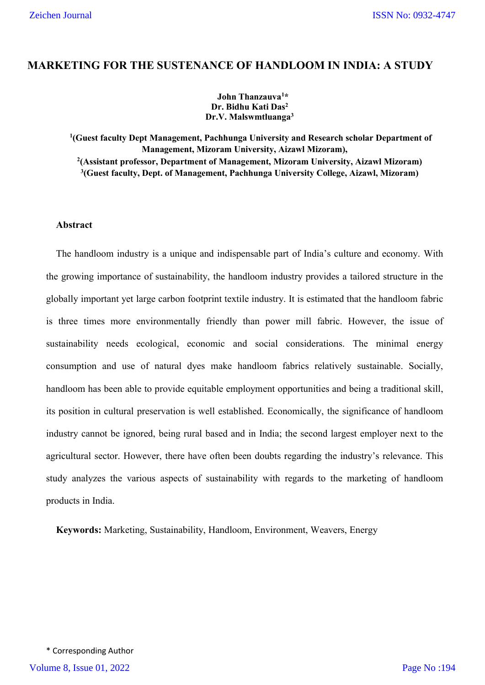# **MARKETING FOR THE SUSTENANCE OF HANDLOOM IN INDIA: A STUDY**

## **John Thanzauva1 \* Dr. Bidhu Kati Das2 Dr.V. Malswmtluanga3**

 **(Guest faculty Dept Management, Pachhunga University and Research scholar Department of Management, Mizoram University, Aizawl Mizoram), (Assistant professor, Department of Management, Mizoram University, Aizawl Mizoram) (Guest faculty, Dept. of Management, Pachhunga University College, Aizawl, Mizoram)**

# **Abstract**

The handloom industry is a unique and indispensable part of India's culture and economy. With the growing importance of sustainability, the handloom industry provides a tailored structure in the globally important yet large carbon footprint textile industry. It is estimated that the handloom fabric is three times more environmentally friendly than power mill fabric. However, the issue of sustainability needs ecological, economic and social considerations. The minimal energy consumption and use of natural dyes make handloom fabrics relatively sustainable. Socially, handloom has been able to provide equitable employment opportunities and being a traditional skill, its position in cultural preservation is well established. Economically, the significance of handloom industry cannot be ignored, being rural based and in India; the second largest employer next to the agricultural sector. However, there have often been doubts regarding the industry's relevance. This study analyzes the various aspects of sustainability with regards to the marketing of handloom products in India.

**Keywords:** Marketing, Sustainability, Handloom, Environment, Weavers, Energy

\* Corresponding Author Volume 8, Issue 01, 2022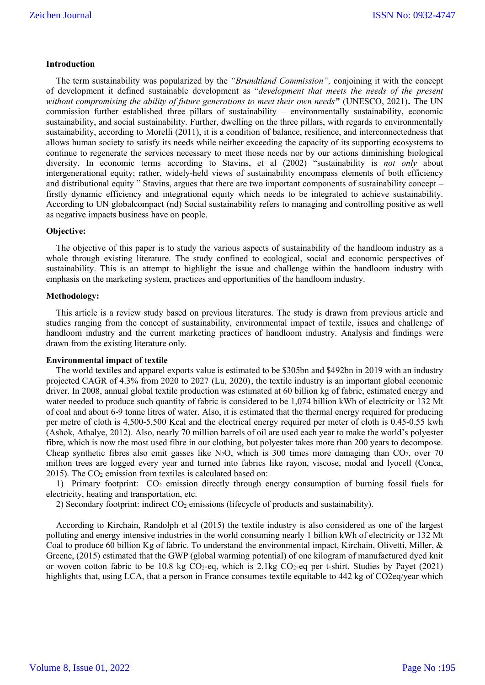### **Introduction**

The term sustainability was popularized by the *"Brundtland Commission",* conjoining it with the concept of development it defined sustainable development as "*development that meets the needs of the present without compromising the ability of future generations to meet their own needs"* (UNESCO, 2021)*.* The UN commission further established three pillars of sustainability – environmentally sustainability, economic sustainability, and social sustainability. Further, dwelling on the three pillars, with regards to environmentally sustainability, according to Morelli (2011), it is a condition of balance, resilience, and interconnectedness that allows human society to satisfy its needs while neither exceeding the capacity of its supporting ecosystems to continue to regenerate the services necessary to meet those needs nor by our actions diminishing biological diversity. In economic terms according to Stavins, et al (2002) "sustainability is *not only* about intergenerational equity; rather, widely-held views of sustainability encompass elements of both efficiency and distributional equity " Stavins, argues that there are two important components of sustainability concept – firstly dynamic efficiency and integrational equity which needs to be integrated to achieve sustainability. According to UN globalcompact (nd) Social sustainability refers to managing and controlling positive as well as negative impacts business have on people.

## **Objective:**

The objective of this paper is to study the various aspects of sustainability of the handloom industry as a whole through existing literature. The study confined to ecological, social and economic perspectives of sustainability. This is an attempt to highlight the issue and challenge within the handloom industry with emphasis on the marketing system, practices and opportunities of the handloom industry.

#### **Methodology:**

This article is a review study based on previous literatures. The study is drawn from previous article and studies ranging from the concept of sustainability, environmental impact of textile, issues and challenge of handloom industry and the current marketing practices of handloom industry. Analysis and findings were drawn from the existing literature only.

## **Environmental impact of textile**

The world textiles and apparel exports value is estimated to be \$305bn and \$492bn in 2019 with an industry projected CAGR of 4.3% from 2020 to 2027 (Lu, 2020), the textile industry is an important global economic driver. In 2008, annual global textile production was estimated at 60 billion kg of fabric, estimated energy and water needed to produce such quantity of fabric is considered to be 1,074 billion kWh of electricity or 132 Mt of coal and about 6-9 tonne litres of water. Also, it is estimated that the thermal energy required for producing per metre of cloth is 4,500-5,500 Kcal and the electrical energy required per meter of cloth is 0.45-0.55 kwh (Ashok, Athalye, 2012). Also, nearly 70 million barrels of oil are used each year to make the world's polyester fibre, which is now the most used fibre in our clothing, but polyester takes more than 200 years to decompose. Cheap synthetic fibres also emit gasses like N<sub>2</sub>O, which is 300 times more damaging than  $CO<sub>2</sub>$ , over 70 million trees are logged every year and turned into fabrics like rayon, viscose, modal and lyocell (Conca, 2015). The  $CO<sub>2</sub>$  emission from textiles is calculated based on:

1) Primary footprint: CO2 emission directly through energy consumption of burning fossil fuels for electricity, heating and transportation, etc.

2) Secondary footprint: indirect  $CO<sub>2</sub>$  emissions (lifecycle of products and sustainability).

According to Kirchain, Randolph et al (2015) the textile industry is also considered as one of the largest polluting and energy intensive industries in the world consuming nearly 1 billion kWh of electricity or 132 Mt Coal to produce 60 billion Kg of fabric. To understand the environmental impact, Kirchain, Olivetti, Miller, & Greene, (2015) estimated that the GWP (global warming potential) of one kilogram of manufactured dyed knit or woven cotton fabric to be 10.8 kg  $CO<sub>2</sub>$ -eq, which is 2.1kg  $CO<sub>2</sub>$ -eq per t-shirt. Studies by Payet (2021) highlights that, using LCA, that a person in France consumes textile equitable to 442 kg of CO2eq/year which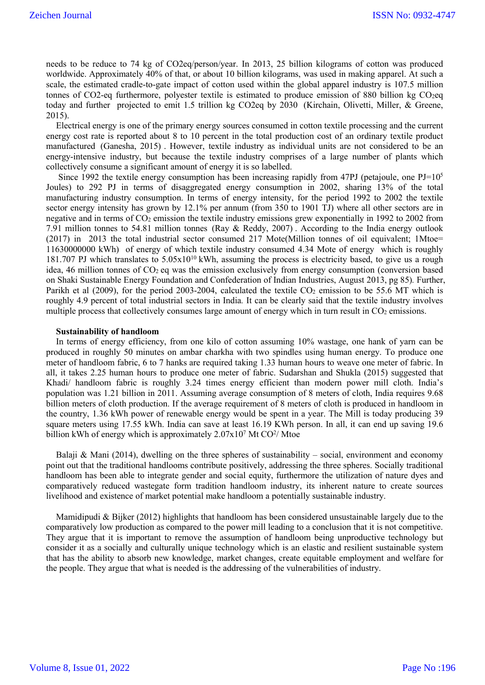needs to be reduce to 74 kg of CO2eq/person/year. In 2013, 25 billion kilograms of cotton was produced worldwide. Approximately 40% of that, or about 10 billion kilograms, was used in making apparel. At such a scale, the estimated cradle-to-gate impact of cotton used within the global apparel industry is 107.5 million tonnes of CO2-eq furthermore, polyester textile is estimated to produce emission of 880 billion kg CO<sub>2</sub>eq today and further projected to emit 1.5 trillion kg CO2eq by 2030 (Kirchain, Olivetti, Miller, & Greene, 2015).

Electrical energy is one of the primary energy sources consumed in cotton textile processing and the current energy cost rate is reported about 8 to 10 percent in the total production cost of an ordinary textile product manufactured (Ganesha, 2015) . However, textile industry as individual units are not considered to be an energy-intensive industry, but because the textile industry comprises of a large number of plants which collectively consume a significant amount of energy it is so labelled.

Since 1992 the textile energy consumption has been increasing rapidly from 47PJ (petajoule, one  $PJ=10^5$ ) Joules) to 292 PJ in terms of disaggregated energy consumption in 2002, sharing 13% of the total manufacturing industry consumption. In terms of energy intensity, for the period 1992 to 2002 the textile sector energy intensity has grown by 12.1% per annum (from 350 to 1901 TJ) where all other sectors are in negative and in terms of  $CO<sub>2</sub>$  emission the textile industry emissions grew exponentially in 1992 to 2002 from 7.91 million tonnes to 54.81 million tonnes (Ray & Reddy, 2007) . According to the India energy outlook (2017) in 2013 the total industrial sector consumed 217 Mote(Million tonnes of oil equivalent; 1Mtoe= 11630000000 kWh) of energy of which textile industry consumed 4.34 Mote of energy which is roughly 181.707 PJ which translates to  $5.05x10^{10}$  kWh, assuming the process is electricity based, to give us a rough idea, 46 million tonnes of CO<sub>2</sub> eq was the emission exclusively from energy consumption (conversion based on Shaki Sustainable Energy Foundation and Confederation of Indian Industries, August 2013, pg 85)*.* Further, Parikh et al (2009), for the period 2003-2004, calculated the textile  $CO<sub>2</sub>$  emission to be 55.6 MT which is roughly 4.9 percent of total industrial sectors in India*.* It can be clearly said that the textile industry involves multiple process that collectively consumes large amount of energy which in turn result in CO<sub>2</sub> emissions.

#### **Sustainability of handloom**

In terms of energy efficiency, from one kilo of cotton assuming 10% wastage, one hank of yarn can be produced in roughly 50 minutes on ambar charkha with two spindles using human energy. To produce one meter of handloom fabric, 6 to 7 hanks are required taking 1.33 human hours to weave one meter of fabric. In all, it takes 2.25 human hours to produce one meter of fabric. Sudarshan and Shukla (2015) suggested that Khadi/ handloom fabric is roughly 3.24 times energy efficient than modern power mill cloth. India's population was 1.21 billion in 2011. Assuming average consumption of 8 meters of cloth, India requires 9.68 billion meters of cloth production. If the average requirement of 8 meters of cloth is produced in handloom in the country, 1.36 kWh power of renewable energy would be spent in a year. The Mill is today producing 39 square meters using 17.55 kWh. India can save at least 16.19 KWh person. In all, it can end up saving 19.6 billion kWh of energy which is approximately  $2.07x10^7$  Mt CO<sup>2</sup>/ Mtoe

Balaji & Mani (2014), dwelling on the three spheres of sustainability – social, environment and economy point out that the traditional handlooms contribute positively, addressing the three spheres. Socially traditional handloom has been able to integrate gender and social equity, furthermore the utilization of nature dyes and comparatively reduced wastegate form tradition handloom industry, its inherent nature to create sources livelihood and existence of market potential make handloom a potentially sustainable industry.

Mamidipudi & Bijker (2012) highlights that handloom has been considered unsustainable largely due to the comparatively low production as compared to the power mill leading to a conclusion that it is not competitive. They argue that it is important to remove the assumption of handloom being unproductive technology but consider it as a socially and culturally unique technology which is an elastic and resilient sustainable system that has the ability to absorb new knowledge, market changes, create equitable employment and welfare for the people. They argue that what is needed is the addressing of the vulnerabilities of industry.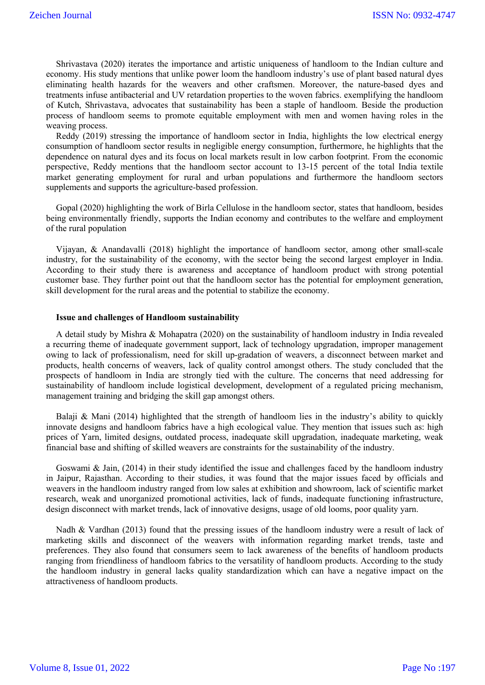Shrivastava (2020) iterates the importance and artistic uniqueness of handloom to the Indian culture and economy. His study mentions that unlike power loom the handloom industry's use of plant based natural dyes eliminating health hazards for the weavers and other craftsmen. Moreover, the nature-based dyes and treatments infuse antibacterial and UV retardation properties to the woven fabrics. exemplifying the handloom of Kutch, Shrivastava, advocates that sustainability has been a staple of handloom. Beside the production process of handloom seems to promote equitable employment with men and women having roles in the weaving process.

Reddy (2019) stressing the importance of handloom sector in India, highlights the low electrical energy consumption of handloom sector results in negligible energy consumption, furthermore, he highlights that the dependence on natural dyes and its focus on local markets result in low carbon footprint. From the economic perspective, Reddy mentions that the handloom sector account to 13-15 percent of the total India textile market generating employment for rural and urban populations and furthermore the handloom sectors supplements and supports the agriculture-based profession.

Gopal (2020) highlighting the work of Birla Cellulose in the handloom sector, states that handloom, besides being environmentally friendly, supports the Indian economy and contributes to the welfare and employment of the rural population

Vijayan, & Anandavalli (2018) highlight the importance of handloom sector, among other small-scale industry, for the sustainability of the economy, with the sector being the second largest employer in India. According to their study there is awareness and acceptance of handloom product with strong potential customer base. They further point out that the handloom sector has the potential for employment generation, skill development for the rural areas and the potential to stabilize the economy.

#### **Issue and challenges of Handloom sustainability**

A detail study by Mishra & Mohapatra (2020) on the sustainability of handloom industry in India revealed a recurring theme of inadequate government support, lack of technology upgradation, improper management owing to lack of professionalism, need for skill up-gradation of weavers, a disconnect between market and products, health concerns of weavers, lack of quality control amongst others. The study concluded that the prospects of handloom in India are strongly tied with the culture. The concerns that need addressing for sustainability of handloom include logistical development, development of a regulated pricing mechanism, management training and bridging the skill gap amongst others.

Balaji & Mani (2014) highlighted that the strength of handloom lies in the industry's ability to quickly innovate designs and handloom fabrics have a high ecological value. They mention that issues such as: high prices of Yarn, limited designs, outdated process, inadequate skill upgradation, inadequate marketing, weak financial base and shifting of skilled weavers are constraints for the sustainability of the industry.

Goswami & Jain, (2014) in their study identified the issue and challenges faced by the handloom industry in Jaipur, Rajasthan. According to their studies, it was found that the major issues faced by officials and weavers in the handloom industry ranged from low sales at exhibition and showroom, lack of scientific market research, weak and unorganized promotional activities, lack of funds, inadequate functioning infrastructure, design disconnect with market trends, lack of innovative designs, usage of old looms, poor quality yarn.

Nadh & Vardhan (2013) found that the pressing issues of the handloom industry were a result of lack of marketing skills and disconnect of the weavers with information regarding market trends, taste and preferences. They also found that consumers seem to lack awareness of the benefits of handloom products ranging from friendliness of handloom fabrics to the versatility of handloom products. According to the study the handloom industry in general lacks quality standardization which can have a negative impact on the attractiveness of handloom products.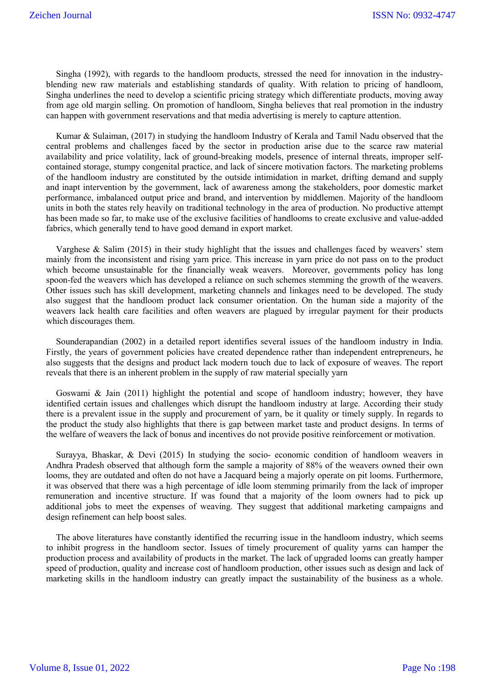Singha (1992), with regards to the handloom products, stressed the need for innovation in the industryblending new raw materials and establishing standards of quality. With relation to pricing of handloom, Singha underlines the need to develop a scientific pricing strategy which differentiate products, moving away from age old margin selling. On promotion of handloom, Singha believes that real promotion in the industry can happen with government reservations and that media advertising is merely to capture attention.

Kumar & Sulaiman, (2017) in studying the handloom Industry of Kerala and Tamil Nadu observed that the central problems and challenges faced by the sector in production arise due to the scarce raw material availability and price volatility, lack of ground-breaking models, presence of internal threats, improper selfcontained storage, stumpy congenital practice, and lack of sincere motivation factors. The marketing problems of the handloom industry are constituted by the outside intimidation in market, drifting demand and supply and inapt intervention by the government, lack of awareness among the stakeholders, poor domestic market performance, imbalanced output price and brand, and intervention by middlemen. Majority of the handloom units in both the states rely heavily on traditional technology in the area of production. No productive attempt has been made so far, to make use of the exclusive facilities of handlooms to create exclusive and value-added fabrics, which generally tend to have good demand in export market.

Varghese & Salim (2015) in their study highlight that the issues and challenges faced by weavers' stem mainly from the inconsistent and rising yarn price. This increase in yarn price do not pass on to the product which become unsustainable for the financially weak weavers. Moreover, governments policy has long spoon-fed the weavers which has developed a reliance on such schemes stemming the growth of the weavers. Other issues such has skill development, marketing channels and linkages need to be developed. The study also suggest that the handloom product lack consumer orientation. On the human side a majority of the weavers lack health care facilities and often weavers are plagued by irregular payment for their products which discourages them.

Sounderapandian (2002) in a detailed report identifies several issues of the handloom industry in India. Firstly, the years of government policies have created dependence rather than independent entrepreneurs, he also suggests that the designs and product lack modern touch due to lack of exposure of weaves. The report reveals that there is an inherent problem in the supply of raw material specially yarn

Goswami & Jain (2011) highlight the potential and scope of handloom industry; however, they have identified certain issues and challenges which disrupt the handloom industry at large. According their study there is a prevalent issue in the supply and procurement of yarn, be it quality or timely supply. In regards to the product the study also highlights that there is gap between market taste and product designs. In terms of the welfare of weavers the lack of bonus and incentives do not provide positive reinforcement or motivation.

Surayya, Bhaskar, & Devi (2015) In studying the socio- economic condition of handloom weavers in Andhra Pradesh observed that although form the sample a majority of 88% of the weavers owned their own looms, they are outdated and often do not have a Jacquard being a majorly operate on pit looms. Furthermore, it was observed that there was a high percentage of idle loom stemming primarily from the lack of improper remuneration and incentive structure. If was found that a majority of the loom owners had to pick up additional jobs to meet the expenses of weaving. They suggest that additional marketing campaigns and design refinement can help boost sales.

The above literatures have constantly identified the recurring issue in the handloom industry, which seems to inhibit progress in the handloom sector. Issues of timely procurement of quality yarns can hamper the production process and availability of products in the market. The lack of upgraded looms can greatly hamper speed of production, quality and increase cost of handloom production, other issues such as design and lack of marketing skills in the handloom industry can greatly impact the sustainability of the business as a whole.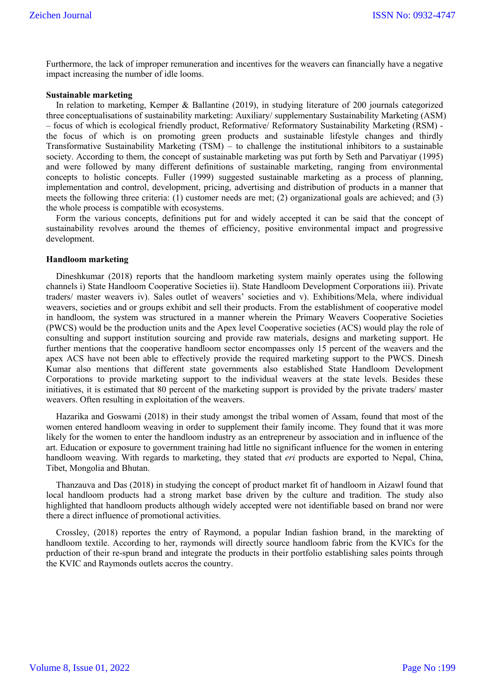Furthermore, the lack of improper remuneration and incentives for the weavers can financially have a negative impact increasing the number of idle looms.

## **Sustainable marketing**

In relation to marketing, Kemper & Ballantine (2019), in studying literature of 200 journals categorized three conceptualisations of sustainability marketing: Auxiliary/ supplementary Sustainability Marketing (ASM) – focus of which is ecological friendly product, Reformative/ Reformatory Sustainability Marketing (RSM) the focus of which is on promoting green products and sustainable lifestyle changes and thirdly Transformative Sustainability Marketing (TSM) – to challenge the institutional inhibitors to a sustainable society. According to them, the concept of sustainable marketing was put forth by Seth and Parvatiyar (1995) and were followed by many different definitions of sustainable marketing, ranging from environmental concepts to holistic concepts. Fuller (1999) suggested sustainable marketing as a process of planning, implementation and control, development, pricing, advertising and distribution of products in a manner that meets the following three criteria: (1) customer needs are met; (2) organizational goals are achieved; and (3) the whole process is compatible with ecosystems.

Form the various concepts, definitions put for and widely accepted it can be said that the concept of sustainability revolves around the themes of efficiency, positive environmental impact and progressive development.

## **Handloom marketing**

Dineshkumar (2018) reports that the handloom marketing system mainly operates using the following channels i) State Handloom Cooperative Societies ii). State Handloom Development Corporations iii). Private traders/ master weavers iv). Sales outlet of weavers' societies and v). Exhibitions/Mela, where individual weavers, societies and or groups exhibit and sell their products. From the establishment of cooperative model in handloom, the system was structured in a manner wherein the Primary Weavers Cooperative Societies (PWCS) would be the production units and the Apex level Cooperative societies (ACS) would play the role of consulting and support institution sourcing and provide raw materials, designs and marketing support. He further mentions that the cooperative handloom sector encompasses only 15 percent of the weavers and the apex ACS have not been able to effectively provide the required marketing support to the PWCS. Dinesh Kumar also mentions that different state governments also established State Handloom Development Corporations to provide marketing support to the individual weavers at the state levels. Besides these initiatives, it is estimated that 80 percent of the marketing support is provided by the private traders/ master weavers. Often resulting in exploitation of the weavers.

Hazarika and Goswami (2018) in their study amongst the tribal women of Assam, found that most of the women entered handloom weaving in order to supplement their family income. They found that it was more likely for the women to enter the handloom industry as an entrepreneur by association and in influence of the art. Education or exposure to government training had little no significant influence for the women in entering handloom weaving. With regards to marketing, they stated that *eri* products are exported to Nepal, China, Tibet, Mongolia and Bhutan.

Thanzauva and Das (2018) in studying the concept of product market fit of handloom in Aizawl found that local handloom products had a strong market base driven by the culture and tradition. The study also highlighted that handloom products although widely accepted were not identifiable based on brand nor were there a direct influence of promotional activities.

Crossley, (2018) reportes the entry of Raymond, a popular Indian fashion brand, in the marekting of handloom textile. According to her, raymonds will directly source handloom fabric from the KVICs for the prduction of their re-spun brand and integrate the products in their portfolio establishing sales points through the KVIC and Raymonds outlets accros the country.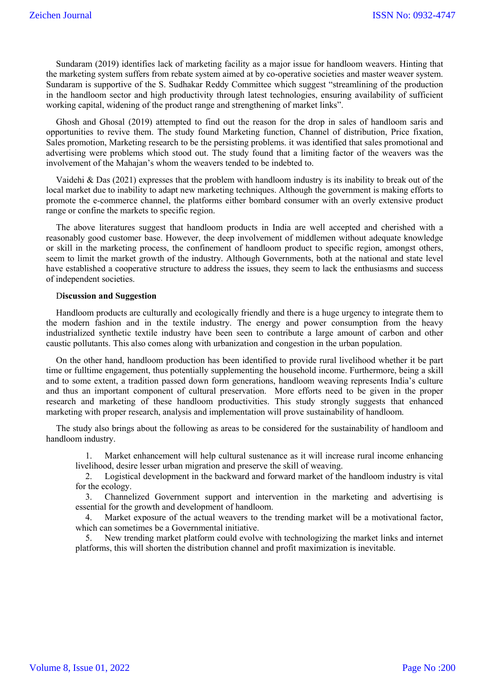Sundaram (2019) identifies lack of marketing facility as a major issue for handloom weavers. Hinting that the marketing system suffers from rebate system aimed at by co-operative societies and master weaver system. Sundaram is supportive of the S. Sudhakar Reddy Committee which suggest "streamlining of the production in the handloom sector and high productivity through latest technologies, ensuring availability of sufficient working capital, widening of the product range and strengthening of market links".

Ghosh and Ghosal (2019) attempted to find out the reason for the drop in sales of handloom saris and opportunities to revive them. The study found Marketing function, Channel of distribution, Price fixation, Sales promotion, Marketing research to be the persisting problems. it was identified that sales promotional and advertising were problems which stood out. The study found that a limiting factor of the weavers was the involvement of the Mahajan's whom the weavers tended to be indebted to.

Vaidehi & Das (2021) expresses that the problem with handloom industry is its inability to break out of the local market due to inability to adapt new marketing techniques. Although the government is making efforts to promote the e-commerce channel, the platforms either bombard consumer with an overly extensive product range or confine the markets to specific region.

The above literatures suggest that handloom products in India are well accepted and cherished with a reasonably good customer base. However, the deep involvement of middlemen without adequate knowledge or skill in the marketing process, the confinement of handloom product to specific region, amongst others, seem to limit the market growth of the industry. Although Governments, both at the national and state level have established a cooperative structure to address the issues, they seem to lack the enthusiasms and success of independent societies.

#### D**iscussion and Suggestion**

Handloom products are culturally and ecologically friendly and there is a huge urgency to integrate them to the modern fashion and in the textile industry. The energy and power consumption from the heavy industrialized synthetic textile industry have been seen to contribute a large amount of carbon and other caustic pollutants. This also comes along with urbanization and congestion in the urban population.

On the other hand, handloom production has been identified to provide rural livelihood whether it be part time or fulltime engagement, thus potentially supplementing the household income. Furthermore, being a skill and to some extent, a tradition passed down form generations, handloom weaving represents India's culture and thus an important component of cultural preservation. More efforts need to be given in the proper research and marketing of these handloom productivities. This study strongly suggests that enhanced marketing with proper research, analysis and implementation will prove sustainability of handloom.

The study also brings about the following as areas to be considered for the sustainability of handloom and handloom industry.

1. Market enhancement will help cultural sustenance as it will increase rural income enhancing livelihood, desire lesser urban migration and preserve the skill of weaving.

2. Logistical development in the backward and forward market of the handloom industry is vital for the ecology.

3. Channelized Government support and intervention in the marketing and advertising is essential for the growth and development of handloom.

4. Market exposure of the actual weavers to the trending market will be a motivational factor, which can sometimes be a Governmental initiative.

5. New trending market platform could evolve with technologizing the market links and internet platforms, this will shorten the distribution channel and profit maximization is inevitable.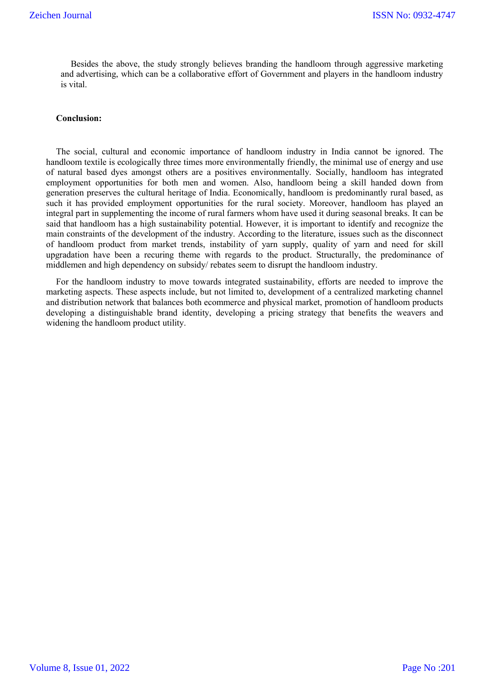Besides the above, the study strongly believes branding the handloom through aggressive marketing and advertising, which can be a collaborative effort of Government and players in the handloom industry is vital.

## **Conclusion:**

The social, cultural and economic importance of handloom industry in India cannot be ignored. The handloom textile is ecologically three times more environmentally friendly, the minimal use of energy and use of natural based dyes amongst others are a positives environmentally. Socially, handloom has integrated employment opportunities for both men and women. Also, handloom being a skill handed down from generation preserves the cultural heritage of India. Economically, handloom is predominantly rural based, as such it has provided employment opportunities for the rural society. Moreover, handloom has played an integral part in supplementing the income of rural farmers whom have used it during seasonal breaks. It can be said that handloom has a high sustainability potential. However, it is important to identify and recognize the main constraints of the development of the industry. According to the literature, issues such as the disconnect of handloom product from market trends, instability of yarn supply, quality of yarn and need for skill upgradation have been a recuring theme with regards to the product. Structurally, the predominance of middlemen and high dependency on subsidy/ rebates seem to disrupt the handloom industry.

For the handloom industry to move towards integrated sustainability, efforts are needed to improve the marketing aspects. These aspects include, but not limited to, development of a centralized marketing channel and distribution network that balances both ecommerce and physical market, promotion of handloom products developing a distinguishable brand identity, developing a pricing strategy that benefits the weavers and widening the handloom product utility.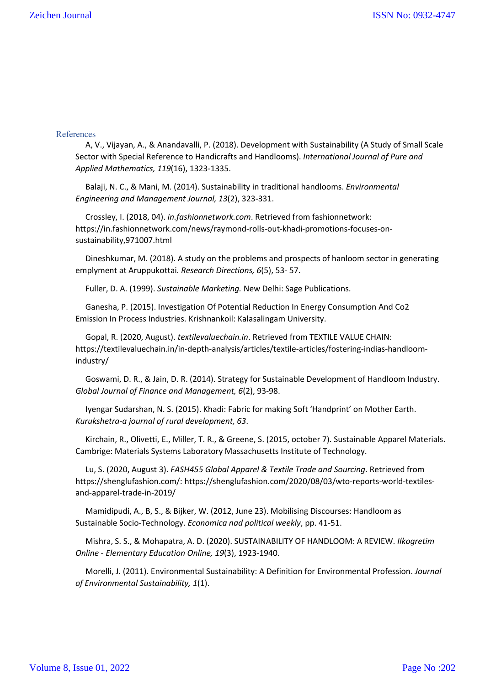## References

A, V., Vijayan, A., & Anandavalli, P. (2018). Development with Sustainability (A Study of Small Scale Sector with Special Reference to Handicrafts and Handlooms). *International Journal of Pure and Applied Mathematics, 119*(16), 1323-1335.

Balaji, N. C., & Mani, M. (2014). Sustainability in traditional handlooms. *Environmental Engineering and Management Journal, 13*(2), 323-331.

Crossley, I. (2018, 04). *in.fashionnetwork.com*. Retrieved from fashionnetwork: https://in.fashionnetwork.com/news/raymond-rolls-out-khadi-promotions-focuses-onsustainability,971007.html

Dineshkumar, M. (2018). A study on the problems and prospects of hanloom sector in generating emplyment at Aruppukottai. *Research Directions, 6*(5), 53- 57.

Fuller, D. A. (1999). *Sustainable Marketing.* New Delhi: Sage Publications.

Ganesha, P. (2015). Investigation Of Potential Reduction In Energy Consumption And Co2 Emission In Process Industries. Krishnankoil: Kalasalingam University.

Gopal, R. (2020, August). *textilevaluechain.in*. Retrieved from TEXTILE VALUE CHAIN: https://textilevaluechain.in/in-depth-analysis/articles/textile-articles/fostering-indias-handloomindustry/

Goswami, D. R., & Jain, D. R. (2014). Strategy for Sustainable Development of Handloom Industry. *Global Journal of Finance and Management, 6*(2), 93-98.

Iyengar Sudarshan, N. S. (2015). Khadi: Fabric for making Soft 'Handprint' on Mother Earth. *Kurukshetra-a journal of rural development, 63*.

Kirchain, R., Olivetti, E., Miller, T. R., & Greene, S. (2015, october 7). Sustainable Apparel Materials. Cambrige: Materials Systems Laboratory Massachusetts Institute of Technology.

Lu, S. (2020, August 3). *FASH455 Global Apparel & Textile Trade and Sourcing*. Retrieved from https://shenglufashion.com/: https://shenglufashion.com/2020/08/03/wto-reports-world-textilesand-apparel-trade-in-2019/

Mamidipudi, A., B, S., & Bijker, W. (2012, June 23). Mobilising Discourses: Handloom as Sustainable Socio-Technology. *Economica nad political weekly*, pp. 41-51.

Mishra, S. S., & Mohapatra, A. D. (2020). SUSTAINABILITY OF HANDLOOM: A REVIEW. *Ilkogretim Online - Elementary Education Online, 19*(3), 1923-1940.

Morelli, J. (2011). Environmental Sustainability: A Definition for Environmental Profession. *Journal of Environmental Sustainability, 1*(1).